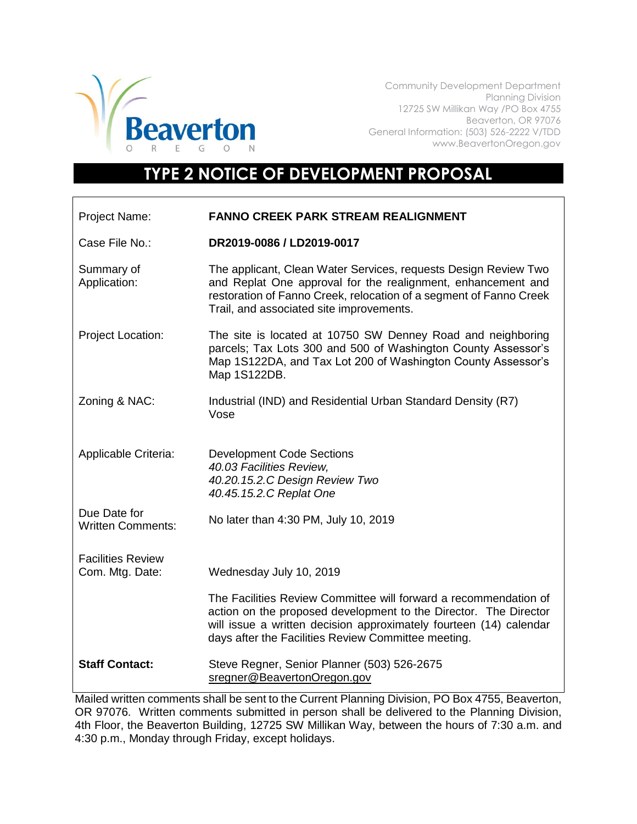

Community Development Department Planning Division 12725 SW Millikan Way /PO Box 4755 Beaverton, OR 97076 General Information: (503) 526-2222 V/TDD www.BeavertonOregon.gov

## **TYPE 2 NOTICE OF DEVELOPMENT PROPOSAL**

| Project Name:                               | <b>FANNO CREEK PARK STREAM REALIGNMENT</b>                                                                                                                                                                                                                        |
|---------------------------------------------|-------------------------------------------------------------------------------------------------------------------------------------------------------------------------------------------------------------------------------------------------------------------|
| Case File No.:                              | DR2019-0086 / LD2019-0017                                                                                                                                                                                                                                         |
| Summary of<br>Application:                  | The applicant, Clean Water Services, requests Design Review Two<br>and Replat One approval for the realignment, enhancement and<br>restoration of Fanno Creek, relocation of a segment of Fanno Creek<br>Trail, and associated site improvements.                 |
| Project Location:                           | The site is located at 10750 SW Denney Road and neighboring<br>parcels; Tax Lots 300 and 500 of Washington County Assessor's<br>Map 1S122DA, and Tax Lot 200 of Washington County Assessor's<br>Map 1S122DB.                                                      |
| Zoning & NAC:                               | Industrial (IND) and Residential Urban Standard Density (R7)<br>Vose                                                                                                                                                                                              |
| Applicable Criteria:                        | <b>Development Code Sections</b><br>40.03 Facilities Review,<br>40.20.15.2.C Design Review Two<br>40.45.15.2.C Replat One                                                                                                                                         |
| Due Date for<br><b>Written Comments:</b>    | No later than 4:30 PM, July 10, 2019                                                                                                                                                                                                                              |
| <b>Facilities Review</b><br>Com. Mtg. Date: | Wednesday July 10, 2019                                                                                                                                                                                                                                           |
|                                             | The Facilities Review Committee will forward a recommendation of<br>action on the proposed development to the Director. The Director<br>will issue a written decision approximately fourteen (14) calendar<br>days after the Facilities Review Committee meeting. |
| <b>Staff Contact:</b>                       | Steve Regner, Senior Planner (503) 526-2675<br>sregner@BeavertonOregon.gov                                                                                                                                                                                        |

Mailed written comments shall be sent to the Current Planning Division, PO Box 4755, Beaverton, OR 97076. Written comments submitted in person shall be delivered to the Planning Division, 4th Floor, the Beaverton Building, 12725 SW Millikan Way, between the hours of 7:30 a.m. and 4:30 p.m., Monday through Friday, except holidays.